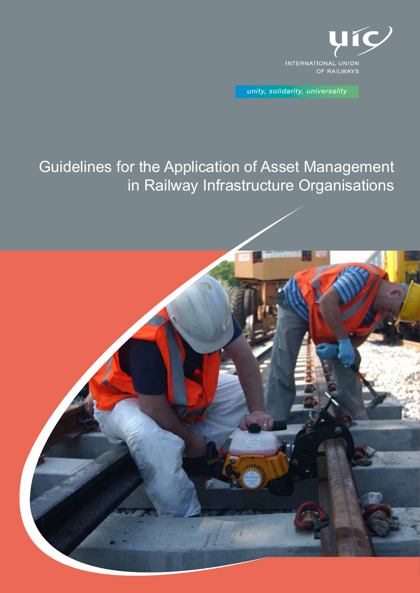

unity, solidarity, universality

# Guidelines for the Application of Asset Management in Railway Infrastructure Organisations

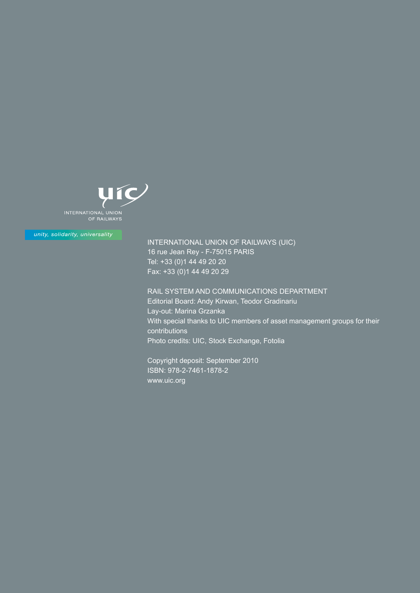

unity, solidarity, universality

INTERNATIONAL UNION OF RAILWAYS (UIC) 16 rue Jean Rey - F-75015 PARIS Tel: +33 (0)1 44 49 20 20 Fax: +33 (0)1 44 49 20 29

RAIL SYSTEM AND COMMUNICATIONS DEPARTMENT Editorial Board: Andy Kirwan, Teodor Gradinariu Lay-out: Marina Grzanka With special thanks to UIC members of asset management groups for their contributions Photo credits: UIC, Stock Exchange, Fotolia

Copyright deposit: September 2010 ISBN: 978-2-7461-1878-2 www.uic.org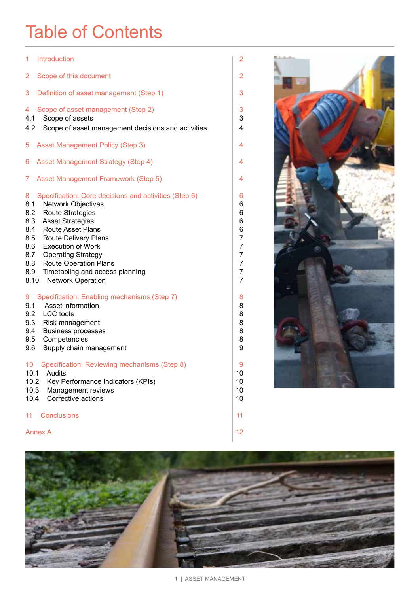# Table of Contents

| 1<br>Introduction                                                                                                                                                                                                                                                                                                                                                                               | $\overline{a}$                                                   |  |
|-------------------------------------------------------------------------------------------------------------------------------------------------------------------------------------------------------------------------------------------------------------------------------------------------------------------------------------------------------------------------------------------------|------------------------------------------------------------------|--|
| 2<br>Scope of this document                                                                                                                                                                                                                                                                                                                                                                     | $\overline{2}$                                                   |  |
| 3<br>Definition of asset management (Step 1)                                                                                                                                                                                                                                                                                                                                                    | 3                                                                |  |
| Scope of asset management (Step 2)<br>4<br>Scope of assets<br>4.1<br>Scope of asset management decisions and activities<br>4.2                                                                                                                                                                                                                                                                  | 3<br>3<br>4                                                      |  |
| <b>Asset Management Policy (Step 3)</b><br>5                                                                                                                                                                                                                                                                                                                                                    | 4                                                                |  |
| <b>Asset Management Strategy (Step 4)</b><br>6                                                                                                                                                                                                                                                                                                                                                  | 4                                                                |  |
| <b>Asset Management Framework (Step 5)</b><br>7                                                                                                                                                                                                                                                                                                                                                 | 4                                                                |  |
| Specification: Core decisions and activities (Step 6)<br>8<br>8.1<br><b>Network Objectives</b><br><b>Route Strategies</b><br>8.2<br>8.3 Asset Strategies<br><b>Route Asset Plans</b><br>8.4<br>8.5 Route Delivery Plans<br>8.6 Execution of Work<br>8.7<br><b>Operating Strategy</b><br>8.8 Route Operation Plans<br>Timetabling and access planning<br>8.9<br><b>Network Operation</b><br>8.10 | 6<br>6<br>6<br>6<br>6<br>$\overline{7}$<br>7<br>7<br>7<br>7<br>7 |  |
| Specification: Enabling mechanisms (Step 7)<br>9<br>Asset information<br>9.1<br>9.2 LCC tools<br>9.3 Risk management<br>9.4<br><b>Business processes</b><br>9.5<br>Competencies<br>9.6<br>Supply chain management                                                                                                                                                                               | 8<br>8<br>8<br>8<br>8<br>8<br>9                                  |  |
| Specification: Reviewing mechanisms (Step 8)<br>10<br>Audits<br>10.1<br>10.2<br>Key Performance Indicators (KPIs)<br>10.3<br>Management reviews<br>Corrective actions<br>10.4                                                                                                                                                                                                                   | 9<br>10<br>10<br>10<br>10                                        |  |
| <b>Conclusions</b><br>11                                                                                                                                                                                                                                                                                                                                                                        | 11                                                               |  |
| <b>Annex A</b>                                                                                                                                                                                                                                                                                                                                                                                  |                                                                  |  |



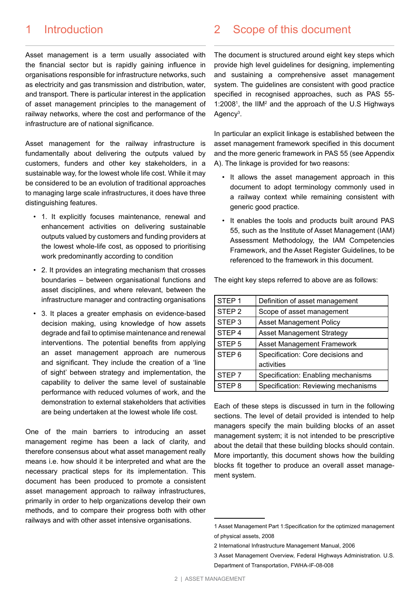# 1 Introduction

Asset management is a term usually associated with the financial sector but is rapidly gaining influence in organisations responsible for infrastructure networks, such as electricity and gas transmission and distribution, water, and transport. There is particular interest in the application of asset management principles to the management of railway networks, where the cost and performance of the infrastructure are of national significance.

Asset management for the railway infrastructure is fundamentally about delivering the outputs valued by customers, funders and other key stakeholders, in a sustainable way, for the lowest whole life cost. While it may be considered to be an evolution of traditional approaches to managing large scale infrastructures, it does have three distinguishing features.

- 1. It explicitly focuses maintenance, renewal and enhancement activities on delivering sustainable outputs valued by customers and funding providers at the lowest whole-life cost, as opposed to prioritising work predominantly according to condition
- 2. It provides an integrating mechanism that crosses boundaries – between organisational functions and asset disciplines, and where relevant, between the infrastructure manager and contracting organisations
- 3. It places a greater emphasis on evidence-based decision making, using knowledge of how assets degrade and fail to optimise maintenance and renewal interventions. The potential benefits from applying an asset management approach are numerous and significant. They include the creation of a 'line of sight' between strategy and implementation, the capability to deliver the same level of sustainable performance with reduced volumes of work, and the demonstration to external stakeholders that activities are being undertaken at the lowest whole life cost.

One of the main barriers to introducing an asset management regime has been a lack of clarity, and therefore consensus about what asset management really means i.e. how should it be interpreted and what are the necessary practical steps for its implementation. This document has been produced to promote a consistent asset management approach to railway infrastructures, primarily in order to help organizations develop their own methods, and to compare their progress both with other railways and with other asset intensive organisations.

### 2 Scope of this document

The document is structured around eight key steps which provide high level guidelines for designing, implementing and sustaining a comprehensive asset management system. The guidelines are consistent with good practice specified in recognised approaches, such as PAS 55- 1:2008<sup>1</sup>, the IIM<sup>2</sup> and the approach of the U.S Highways Agency<sup>3</sup>.

In particular an explicit linkage is established between the asset management framework specified in this document and the more generic framework in PAS 55 (see Appendix A). The linkage is provided for two reasons:

- It allows the asset management approach in this document to adopt terminology commonly used in a railway context while remaining consistent with generic good practice.
- It enables the tools and products built around PAS 55, such as the Institute of Asset Management (IAM) Assessment Methodology, the IAM Competencies Framework, and the Asset Register Guidelines, to be referenced to the framework in this document.

The eight key steps referred to above are as follows:

| STEP <sub>1</sub> | Definition of asset management      |  |  |
|-------------------|-------------------------------------|--|--|
| STEP <sub>2</sub> | Scope of asset management           |  |  |
| STEP <sub>3</sub> | <b>Asset Management Policy</b>      |  |  |
| STEP <sub>4</sub> | <b>Asset Management Strategy</b>    |  |  |
| STEP <sub>5</sub> | <b>Asset Management Framework</b>   |  |  |
| STEP <sub>6</sub> | Specification: Core decisions and   |  |  |
|                   | activities                          |  |  |
| STEP <sub>7</sub> | Specification: Enabling mechanisms  |  |  |
| STEP <sub>8</sub> | Specification: Reviewing mechanisms |  |  |

Each of these steps is discussed in turn in the following sections. The level of detail provided is intended to help managers specify the main building blocks of an asset management system; it is not intended to be prescriptive about the detail that these building blocks should contain. More importantly, this document shows how the building blocks fit together to produce an overall asset management system.

<sup>1</sup> Asset Management Part 1:Specification for the optimized management of physical assets, 2008

<sup>2</sup> International Infrastructure Management Manual, 2006

<sup>3</sup> Asset Management Overview, Federal Highways Administration. U.S. Department of Transportation, FWHA-IF-08-008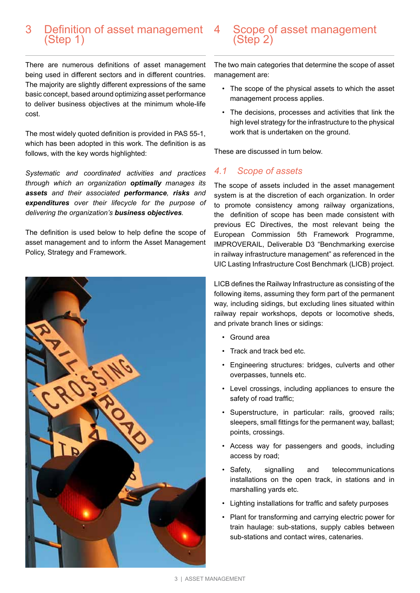#### 3 Definition of asset management (Step 1)

There are numerous definitions of asset management being used in different sectors and in different countries. The majority are slightly different expressions of the same basic concept, based around optimizing asset performance to deliver business objectives at the minimum whole-life cost.

The most widely quoted definition is provided in PAS 55-1, which has been adopted in this work. The definition is as follows, with the key words highlighted:

*Systematic and coordinated activities and practices through which an organization optimally manages its assets and their associated performance, risks and expenditures over their lifecycle for the purpose of delivering the organization's business objectives.*

The definition is used below to help define the scope of asset management and to inform the Asset Management Policy, Strategy and Framework.



## Scope of asset management (Step 2)

The two main categories that determine the scope of asset management are:

- The scope of the physical assets to which the asset management process applies.
- The decisions, processes and activities that link the high level strategy for the infrastructure to the physical work that is undertaken on the ground.

These are discussed in turn below.

#### *4.1 Scope of assets*

The scope of assets included in the asset management system is at the discretion of each organization. In order to promote consistency among railway organizations, the definition of scope has been made consistent with previous EC Directives, the most relevant being the European Commission 5th Framework Programme, IMPROVERAIL, Deliverable D3 "Benchmarking exercise in railway infrastructure management" as referenced in the UIC Lasting Infrastructure Cost Benchmark (LICB) project.

LICB defines the Railway Infrastructure as consisting of the following items, assuming they form part of the permanent way, including sidings, but excluding lines situated within railway repair workshops, depots or locomotive sheds, and private branch lines or sidings:

- Ground area
- Track and track bed etc.
- Engineering structures: bridges, culverts and other overpasses, tunnels etc.
- Level crossings, including appliances to ensure the safety of road traffic;
- Superstructure, in particular: rails, grooved rails; sleepers, small fittings for the permanent way, ballast; points, crossings.
- Access way for passengers and goods, including access by road;
- Safety, signalling and telecommunications installations on the open track, in stations and in marshalling yards etc.
- Lighting installations for traffic and safety purposes
- Plant for transforming and carrying electric power for train haulage: sub-stations, supply cables between sub-stations and contact wires, catenaries.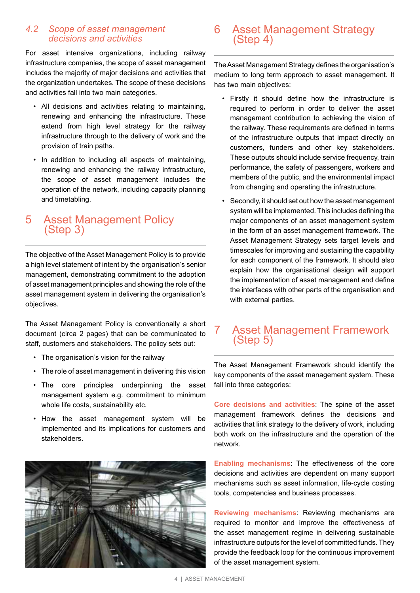#### *4.2 Scope of asset management decisions and activities*

For asset intensive organizations, including railway infrastructure companies, the scope of asset management includes the majority of major decisions and activities that the organization undertakes. The scope of these decisions and activities fall into two main categories.

- All decisions and activities relating to maintaining, renewing and enhancing the infrastructure. These extend from high level strategy for the railway infrastructure through to the delivery of work and the provision of train paths.
- In addition to including all aspects of maintaining. renewing and enhancing the railway infrastructure, the scope of asset management includes the operation of the network, including capacity planning and timetabling.

# 5 Asset Management Policy (Step 3)

The objective of the Asset Management Policy is to provide a high level statement of intent by the organisation's senior management, demonstrating commitment to the adoption of asset management principles and showing the role of the asset management system in delivering the organisation's objectives.

The Asset Management Policy is conventionally a short document (circa 2 pages) that can be communicated to staff, customers and stakeholders. The policy sets out:

- The organisation's vision for the railway
- The role of asset management in delivering this vision
- The core principles underpinning the asset management system e.g. commitment to minimum whole life costs, sustainability etc.
- How the asset management system will be implemented and its implications for customers and stakeholders.



# 6 Asset Management Strategy (Step 4)

The Asset Management Strategy defines the organisation's medium to long term approach to asset management. It has two main objectives:

- Firstly it should define how the infrastructure is required to perform in order to deliver the asset management contribution to achieving the vision of the railway. These requirements are defined in terms of the infrastructure outputs that impact directly on customers, funders and other key stakeholders. These outputs should include service frequency, train performance, the safety of passengers, workers and members of the public, and the environmental impact from changing and operating the infrastructure.
- Secondly, it should set out how the asset management system will be implemented. This includes defining the major components of an asset management system in the form of an asset management framework. The Asset Management Strategy sets target levels and timescales for improving and sustaining the capability for each component of the framework. It should also explain how the organisational design will support the implementation of asset management and define the interfaces with other parts of the organisation and with external parties.

# 7 Asset Management Framework (Step 5)

The Asset Management Framework should identify the key components of the asset management system. These fall into three categories:

**Core decisions and activities**: The spine of the asset management framework defines the decisions and activities that link strategy to the delivery of work, including both work on the infrastructure and the operation of the network.

**Enabling mechanisms**: The effectiveness of the core decisions and activities are dependent on many support mechanisms such as asset information, life-cycle costing tools, competencies and business processes.

**Reviewing mechanisms**: Reviewing mechanisms are required to monitor and improve the effectiveness of the asset management regime in delivering sustainable infrastructure outputs for the level of committed funds. They provide the feedback loop for the continuous improvement of the asset management system.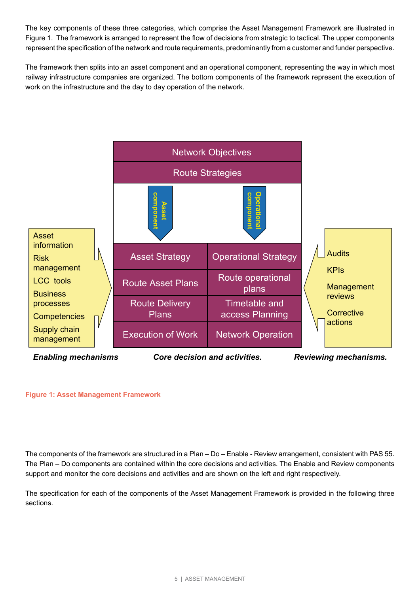The key components of these three categories, which comprise the Asset Management Framework are illustrated in Figure 1. The framework is arranged to represent the flow of decisions from strategic to tactical. The upper components represent the specification of the network and route requirements, predominantly from a customer and funder perspective.

The framework then splits into an asset component and an operational component, representing the way in which most railway infrastructure companies are organized. The bottom components of the framework represent the execution of work on the infrastructure and the day to day operation of the network.



#### **Figure 1: Asset Management Framework**

The components of the framework are structured in a Plan – Do – Enable - Review arrangement, consistent with PAS 55. The Plan – Do components are contained within the core decisions and activities. The Enable and Review components support and monitor the core decisions and activities and are shown on the left and right respectively.

The specification for each of the components of the Asset Management Framework is provided in the following three sections.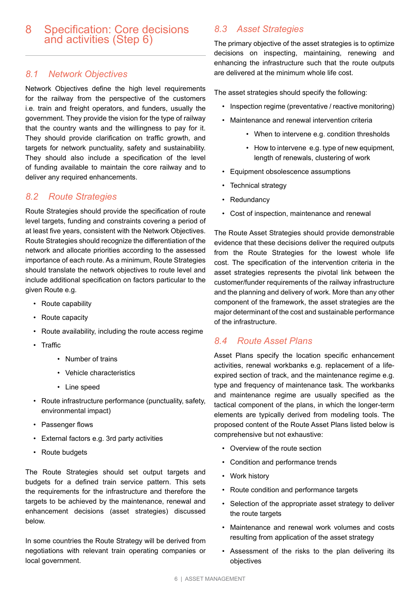#### 8 Specification: Core decisions and activities (Step 6)

#### *8.1 Network Objectives*

Network Objectives define the high level requirements for the railway from the perspective of the customers i.e. train and freight operators, and funders, usually the government. They provide the vision for the type of railway that the country wants and the willingness to pay for it. They should provide clarification on traffic growth, and targets for network punctuality, safety and sustainability. They should also include a specification of the level of funding available to maintain the core railway and to deliver any required enhancements.

#### *8.2 Route Strategies*

Route Strategies should provide the specification of route level targets, funding and constraints covering a period of at least five years, consistent with the Network Objectives. Route Strategies should recognize the differentiation of the network and allocate priorities according to the assessed importance of each route. As a minimum, Route Strategies should translate the network objectives to route level and include additional specification on factors particular to the given Route e.g.

- Route capability
- Route capacity
- Route availability, including the route access regime
- Traffic
	- Number of trains
	- Vehicle characteristics
	- Line speed
- Route infrastructure performance (punctuality, safety, environmental impact)
- Passenger flows
- External factors e.g. 3rd party activities
- Route budgets

The Route Strategies should set output targets and budgets for a defined train service pattern. This sets the requirements for the infrastructure and therefore the targets to be achieved by the maintenance, renewal and enhancement decisions (asset strategies) discussed below.

In some countries the Route Strategy will be derived from negotiations with relevant train operating companies or local government.

# *8.3 Asset Strategies*

The primary objective of the asset strategies is to optimize decisions on inspecting, maintaining, renewing and enhancing the infrastructure such that the route outputs are delivered at the minimum whole life cost.

The asset strategies should specify the following:

- Inspection regime (preventative / reactive monitoring)
- Maintenance and renewal intervention criteria
	- When to intervene e.g. condition thresholds
	- How to intervene e.g. type of new equipment, length of renewals, clustering of work
- Equipment obsolescence assumptions
- Technical strategy
- Redundancy
- Cost of inspection, maintenance and renewal

The Route Asset Strategies should provide demonstrable evidence that these decisions deliver the required outputs from the Route Strategies for the lowest whole life cost. The specification of the intervention criteria in the asset strategies represents the pivotal link between the customer/funder requirements of the railway infrastructure and the planning and delivery of work. More than any other component of the framework, the asset strategies are the major determinant of the cost and sustainable performance of the infrastructure.

#### *8.4 Route Asset Plans*

Asset Plans specify the location specific enhancement activities, renewal workbanks e.g. replacement of a lifeexpired section of track, and the maintenance regime e.g. type and frequency of maintenance task. The workbanks and maintenance regime are usually specified as the tactical component of the plans, in which the longer-term elements are typically derived from modeling tools. The proposed content of the Route Asset Plans listed below is comprehensive but not exhaustive:

- Overview of the route section
- Condition and performance trends
- Work history
- Route condition and performance targets
- Selection of the appropriate asset strategy to deliver the route targets
- Maintenance and renewal work volumes and costs resulting from application of the asset strategy
- Assessment of the risks to the plan delivering its objectives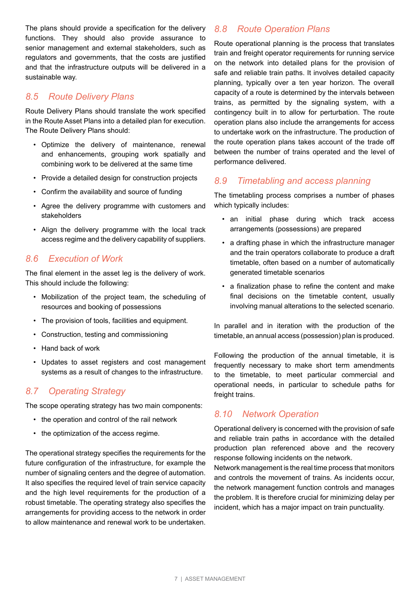The plans should provide a specification for the delivery functions. They should also provide assurance to senior management and external stakeholders, such as regulators and governments, that the costs are justified and that the infrastructure outputs will be delivered in a sustainable way.

#### *8.5 Route Delivery Plans*

Route Delivery Plans should translate the work specified in the Route Asset Plans into a detailed plan for execution. The Route Delivery Plans should:

- Optimize the delivery of maintenance, renewal and enhancements, grouping work spatially and combining work to be delivered at the same time
- Provide a detailed design for construction projects
- Confirm the availability and source of funding
- Agree the delivery programme with customers and stakeholders
- Align the delivery programme with the local track access regime and the delivery capability of suppliers.

#### *8.6 Execution of Work*

The final element in the asset leg is the delivery of work. This should include the following:

- Mobilization of the project team, the scheduling of resources and booking of possessions
- The provision of tools, facilities and equipment.
- Construction, testing and commissioning
- Hand back of work
- Updates to asset registers and cost management systems as a result of changes to the infrastructure.

#### *8.7 Operating Strategy*

The scope operating strategy has two main components:

- the operation and control of the rail network
- the optimization of the access regime.

The operational strategy specifies the requirements for the future configuration of the infrastructure, for example the number of signaling centers and the degree of automation. It also specifies the required level of train service capacity and the high level requirements for the production of a robust timetable. The operating strategy also specifies the arrangements for providing access to the network in order to allow maintenance and renewal work to be undertaken.

#### *8.8 Route Operation Plans*

Route operational planning is the process that translates train and freight operator requirements for running service on the network into detailed plans for the provision of safe and reliable train paths. It involves detailed capacity planning, typically over a ten year horizon. The overall capacity of a route is determined by the intervals between trains, as permitted by the signaling system, with a contingency built in to allow for perturbation. The route operation plans also include the arrangements for access to undertake work on the infrastructure. The production of the route operation plans takes account of the trade off between the number of trains operated and the level of performance delivered.

#### *8.9 Timetabling and access planning*

The timetabling process comprises a number of phases which typically includes:

- an initial phase during which track access arrangements (possessions) are prepared
- a drafting phase in which the infrastructure manager and the train operators collaborate to produce a draft timetable, often based on a number of automatically generated timetable scenarios
- a finalization phase to refine the content and make final decisions on the timetable content, usually involving manual alterations to the selected scenario.

In parallel and in iteration with the production of the timetable, an annual access (possession) plan is produced.

Following the production of the annual timetable, it is frequently necessary to make short term amendments to the timetable, to meet particular commercial and operational needs, in particular to schedule paths for freight trains.

#### *8.10 Network Operation*

Operational delivery is concerned with the provision of safe and reliable train paths in accordance with the detailed production plan referenced above and the recovery response following incidents on the network.

Network management is the real time process that monitors and controls the movement of trains. As incidents occur, the network management function controls and manages the problem. It is therefore crucial for minimizing delay per incident, which has a major impact on train punctuality.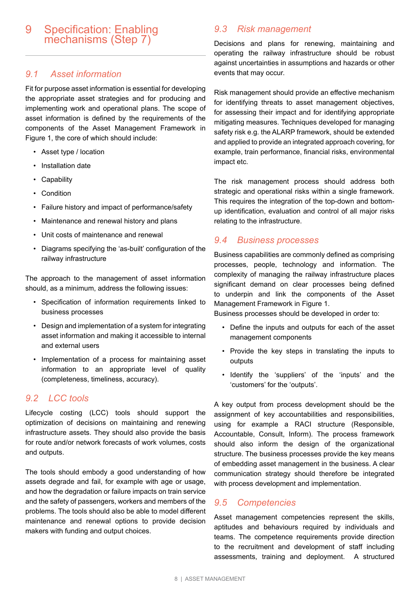### 9 Specification: Enabling mechanisms (Step 7)

#### *9.1 Asset information*

Fit for purpose asset information is essential for developing the appropriate asset strategies and for producing and implementing work and operational plans. The scope of asset information is defined by the requirements of the components of the Asset Management Framework in Figure 1, the core of which should include:

- Asset type / location
- Installation date
- Capability
- Condition
- Failure history and impact of performance/safety
- Maintenance and renewal history and plans
- Unit costs of maintenance and renewal
- Diagrams specifying the 'as-built' configuration of the railway infrastructure

The approach to the management of asset information should, as a minimum, address the following issues:

- Specification of information requirements linked to business processes
- Design and implementation of a system for integrating asset information and making it accessible to internal and external users
- Implementation of a process for maintaining asset information to an appropriate level of quality (completeness, timeliness, accuracy).

#### *9.2 LCC tools*

Lifecycle costing (LCC) tools should support the optimization of decisions on maintaining and renewing infrastructure assets. They should also provide the basis for route and/or network forecasts of work volumes, costs and outputs.

The tools should embody a good understanding of how assets degrade and fail, for example with age or usage, and how the degradation or failure impacts on train service and the safety of passengers, workers and members of the problems. The tools should also be able to model different maintenance and renewal options to provide decision makers with funding and output choices.

#### *9.3 Risk management*

Decisions and plans for renewing, maintaining and operating the railway infrastructure should be robust against uncertainties in assumptions and hazards or other events that may occur.

Risk management should provide an effective mechanism for identifying threats to asset management objectives, for assessing their impact and for identifying appropriate mitigating measures. Techniques developed for managing safety risk e.g. the ALARP framework, should be extended and applied to provide an integrated approach covering, for example, train performance, financial risks, environmental impact etc.

The risk management process should address both strategic and operational risks within a single framework. This requires the integration of the top-down and bottomup identification, evaluation and control of all major risks relating to the infrastructure.

#### *9.4 Business processes*

Business capabilities are commonly defined as comprising processes, people, technology and information. The complexity of managing the railway infrastructure places significant demand on clear processes being defined to underpin and link the components of the Asset Management Framework in Figure 1.

Business processes should be developed in order to:

- Define the inputs and outputs for each of the asset management components
- Provide the key steps in translating the inputs to outputs
- Identify the 'suppliers' of the 'inputs' and the 'customers' for the 'outputs'.

A key output from process development should be the assignment of key accountabilities and responsibilities, using for example a RACI structure (Responsible, Accountable, Consult, Inform). The process framework should also inform the design of the organizational structure. The business processes provide the key means of embedding asset management in the business. A clear communication strategy should therefore be integrated with process development and implementation.

#### *9.5 Competencies*

Asset management competencies represent the skills, aptitudes and behaviours required by individuals and teams. The competence requirements provide direction to the recruitment and development of staff including assessments, training and deployment. A structured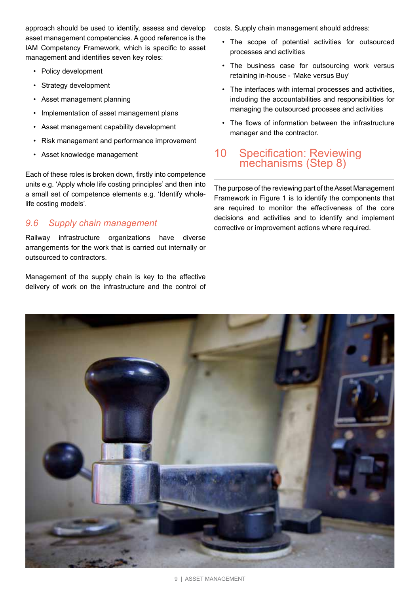approach should be used to identify, assess and develop asset management competencies. A good reference is the IAM Competency Framework, which is specific to asset management and identifies seven key roles:

- Policy development
- Strategy development
- Asset management planning
- Implementation of asset management plans
- Asset management capability development
- Risk management and performance improvement
- Asset knowledge management

Each of these roles is broken down, firstly into competence units e.g. 'Apply whole life costing principles' and then into a small set of competence elements e.g. 'Identify wholelife costing models'.

#### *9.6 Supply chain management*

Railway infrastructure organizations have diverse arrangements for the work that is carried out internally or outsourced to contractors.

Management of the supply chain is key to the effective delivery of work on the infrastructure and the control of costs. Supply chain management should address:

- The scope of potential activities for outsourced processes and activities
- The business case for outsourcing work versus retaining in-house - 'Make versus Buy'
- The interfaces with internal processes and activities, including the accountabilities and responsibilities for managing the outsourced proceses and activities
- The flows of information between the infrastructure manager and the contractor.

# 10 Specification: Reviewing mechanisms (Step 8)

The purpose of the reviewing part of the Asset Management Framework in Figure 1 is to identify the components that are required to monitor the effectiveness of the core decisions and activities and to identify and implement corrective or improvement actions where required.

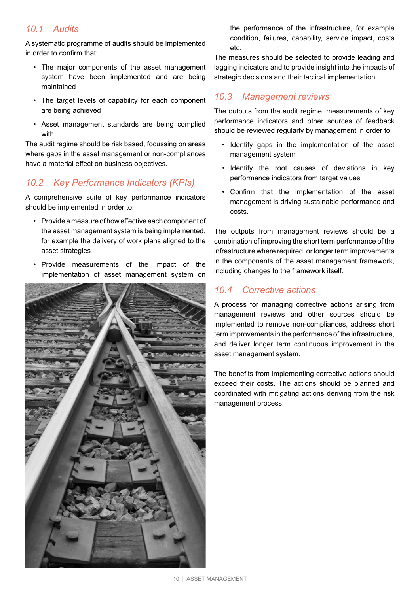#### *10.1 Audits*

A systematic programme of audits should be implemented in order to confirm that:

- The major components of the asset management system have been implemented and are being maintained
- The target levels of capability for each component are being achieved
- Asset management standards are being complied with.

The audit regime should be risk based, focussing on areas where gaps in the asset management or non-compliances have a material effect on business objectives.

#### *10.2 Key Performance Indicators (KPIs)*

A comprehensive suite of key performance indicators should be implemented in order to:

- Provide a measure of how effective each component of the asset management system is being implemented, for example the delivery of work plans aligned to the asset strategies
- Provide measurements of the impact of the implementation of asset management system on



the performance of the infrastructure, for example condition, failures, capability, service impact, costs etc.

The measures should be selected to provide leading and lagging indicators and to provide insight into the impacts of strategic decisions and their tactical implementation.

#### *10.3 Management reviews*

The outputs from the audit regime, measurements of key performance indicators and other sources of feedback should be reviewed regularly by management in order to:

- Identify gaps in the implementation of the asset management system
- Identify the root causes of deviations in key performance indicators from target values
- Confirm that the implementation of the asset management is driving sustainable performance and costs.

The outputs from management reviews should be a combination of improving the short term performance of the infrastructure where required, or longer term improvements in the components of the asset management framework, including changes to the framework itself.

#### *10.4 Corrective actions*

A process for managing corrective actions arising from management reviews and other sources should be implemented to remove non-compliances, address short term improvements in the performance of the infrastructure, and deliver longer term continuous improvement in the asset management system.

The benefits from implementing corrective actions should exceed their costs. The actions should be planned and coordinated with mitigating actions deriving from the risk management process.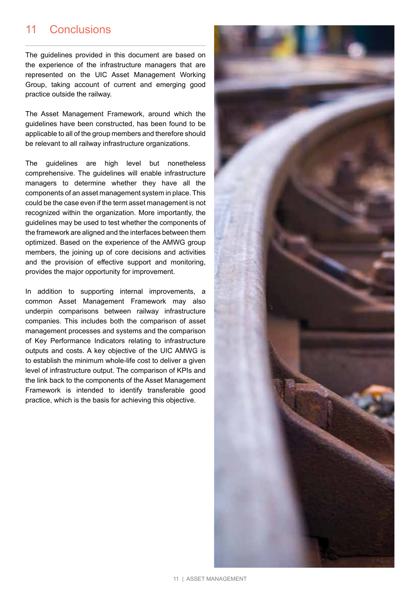# 11 Conclusions

The guidelines provided in this document are based on the experience of the infrastructure managers that are represented on the UIC Asset Management Working Group, taking account of current and emerging good practice outside the railway.

The Asset Management Framework, around which the guidelines have been constructed, has been found to be applicable to all of the group members and therefore should be relevant to all railway infrastructure organizations.

The guidelines are high level but nonetheless comprehensive. The guidelines will enable infrastructure managers to determine whether they have all the components of an asset management system in place. This could be the case even if the term asset management is not recognized within the organization. More importantly, the guidelines may be used to test whether the components of the framework are aligned and the interfaces between them optimized. Based on the experience of the AMWG group members, the joining up of core decisions and activities and the provision of effective support and monitoring, provides the major opportunity for improvement.

In addition to supporting internal improvements, a common Asset Management Framework may also underpin comparisons between railway infrastructure companies. This includes both the comparison of asset management processes and systems and the comparison of Key Performance Indicators relating to infrastructure outputs and costs. A key objective of the UIC AMWG is to establish the minimum whole-life cost to deliver a given level of infrastructure output. The comparison of KPIs and the link back to the components of the Asset Management Framework is intended to identify transferable good practice, which is the basis for achieving this objective.

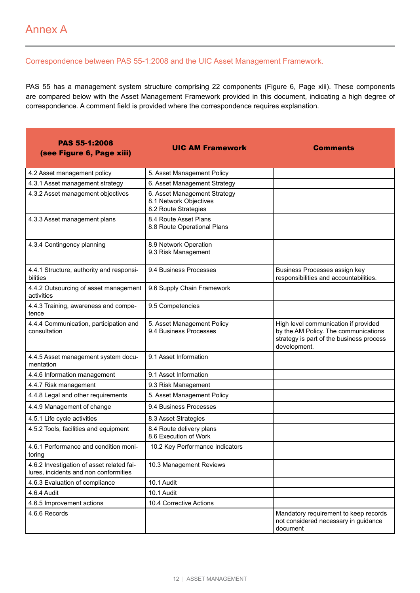#### Correspondence between PAS 55-1:2008 and the UIC Asset Management Framework.

PAS 55 has a management system structure comprising 22 components (Figure 6, Page xiii). These components are compared below with the Asset Management Framework provided in this document, indicating a high degree of correspondence. A comment field is provided where the correspondence requires explanation.

| <b>PAS 55-1:2008</b><br>(see Figure 6, Page xiii)                                  | <b>UIC AM Framework</b>                                                        | <b>Comments</b>                                                                                                                          |
|------------------------------------------------------------------------------------|--------------------------------------------------------------------------------|------------------------------------------------------------------------------------------------------------------------------------------|
| 4.2 Asset management policy                                                        | 5. Asset Management Policy                                                     |                                                                                                                                          |
| 4.3.1 Asset management strategy                                                    | 6. Asset Management Strategy                                                   |                                                                                                                                          |
| 4.3.2 Asset management objectives                                                  | 6. Asset Management Strategy<br>8.1 Network Objectives<br>8.2 Route Strategies |                                                                                                                                          |
| 4.3.3 Asset management plans                                                       | 8.4 Route Asset Plans<br>8.8 Route Operational Plans                           |                                                                                                                                          |
| 4.3.4 Contingency planning                                                         | 8.9 Network Operation<br>9.3 Risk Management                                   |                                                                                                                                          |
| 4.4.1 Structure, authority and responsi-<br>bilities                               | 9.4 Business Processes                                                         | Business Processes assign key<br>responsibilities and accountabilities.                                                                  |
| 4.4.2 Outsourcing of asset management<br>activities                                | 9.6 Supply Chain Framework                                                     |                                                                                                                                          |
| 4.4.3 Training, awareness and compe-<br>tence                                      | 9.5 Competencies                                                               |                                                                                                                                          |
| 4.4.4 Communication, participation and<br>consultation                             | 5. Asset Management Policy<br>9.4 Business Processes                           | High level communication if provided<br>by the AM Policy. The communications<br>strategy is part of the business process<br>development. |
| 4.4.5 Asset management system docu-<br>mentation                                   | 9.1 Asset Information                                                          |                                                                                                                                          |
| 4.4.6 Information management                                                       | 9.1 Asset Information                                                          |                                                                                                                                          |
| 4.4.7 Risk management                                                              | 9.3 Risk Management                                                            |                                                                                                                                          |
| 4.4.8 Legal and other requirements                                                 | 5. Asset Management Policy                                                     |                                                                                                                                          |
| 4.4.9 Management of change                                                         | 9.4 Business Processes                                                         |                                                                                                                                          |
| 4.5.1 Life cycle activities                                                        | 8.3 Asset Strategies                                                           |                                                                                                                                          |
| 4.5.2 Tools, facilities and equipment                                              | 8.4 Route delivery plans<br>8.6 Execution of Work                              |                                                                                                                                          |
| 4.6.1 Performance and condition moni-<br>toring                                    | 10.2 Key Performance Indicators                                                |                                                                                                                                          |
| 4.6.2 Investigation of asset related fai-<br>lures, incidents and non conformities | 10.3 Management Reviews                                                        |                                                                                                                                          |
| 4.6.3 Evaluation of compliance                                                     | 10.1 Audit                                                                     |                                                                                                                                          |
| 4.6.4 Audit                                                                        | 10.1 Audit                                                                     |                                                                                                                                          |
| 4.6.5 Improvement actions                                                          | 10.4 Corrective Actions                                                        |                                                                                                                                          |
| 4.6.6 Records                                                                      |                                                                                | Mandatory requirement to keep records<br>not considered necessary in guidance<br>document                                                |